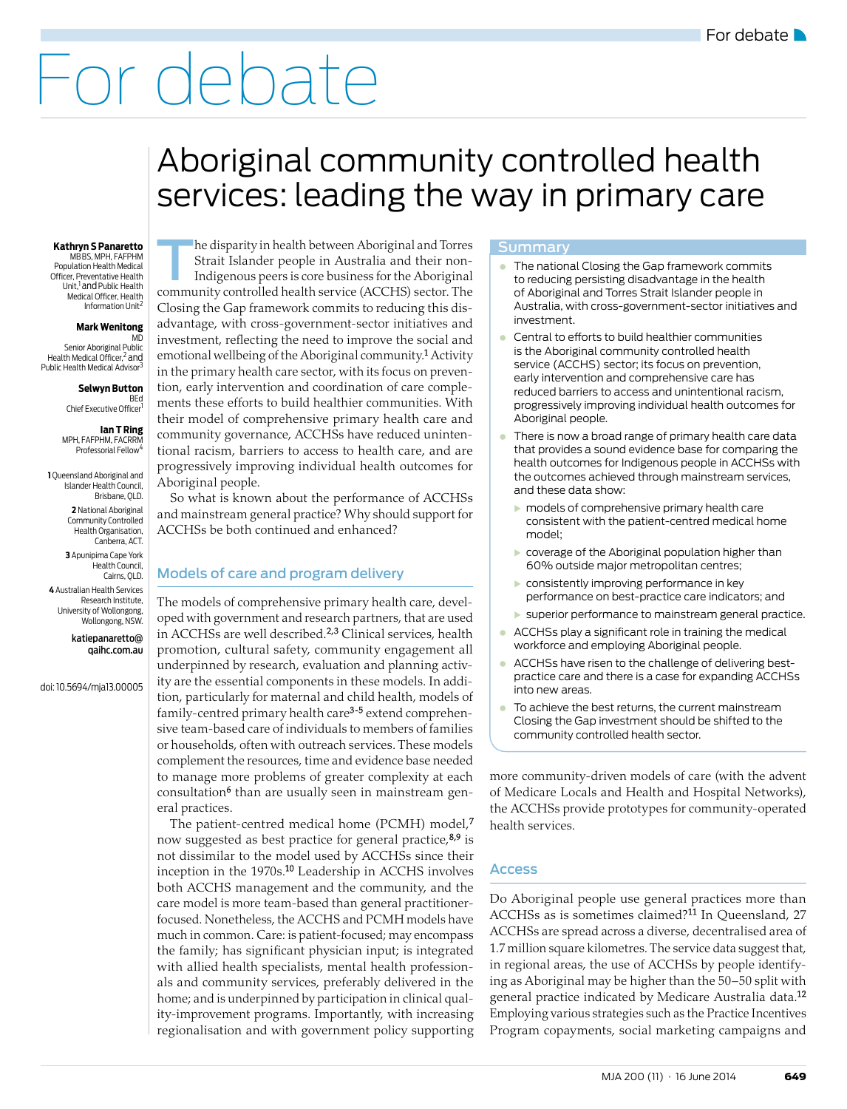# or debate

## Aboriginal community controlled health services: leading the way in primary care

### **Kathryn S Panaretto**

MBRS, MPH, FAFPHM Population Health Medical Officer, Preventative Health Unit,1 and Public Health Medical Officer, Health Information Unit2

#### **Mark Wenitong** MD

Senior Aboriginal Public Health Medical Officer<sup>2</sup> and Public Health Medical Advisor3

#### **Selwyn Button**

BEd<br>Chief Executive Officer<sup>1</sup>

#### **Ian T Ring**

MPH, FAFPHM, FACRRM Professorial Fellow4

**1** Queensland Aboriginal and Islander Health Council, Brisbane, QLD. **2** National Aboriginal Community Controlled Health Organisation, Canberra, ACT. **3** Apunipima Cape York Health Council, Cairns, QLD. **4** Australian Health Services Research Institute, University of Wollongong, Wollongong, NSW.

katiepanaretto@ qaihc.com.au

doi: 10.5694/mja13.00005

The disparity in health between Aboriginal and Torres Strait Islander people in Australia and their non-Indigenous peers is core business for the Aboriginal community controlled health service (ACCHS) sector. The Closing the Gap framework commits to reducing this disadvantage, with cross-government-sector initiatives and investment, reflecting the need to improve the social and emotional wellbeing of the Aboriginal community.1 Activity in the primary health care sector, with its focus on prevention, early intervention and coordination of care complements these efforts to build healthier communities. With their model of comprehensive primary health care and community governance, ACCHSs have reduced unintentional racism, barriers to access to health care, and are progressively improving individual health outcomes for Aboriginal people.

So what is known about the performance of ACCHSs and mainstream general practice? Why should support for ACCHSs be both continued and enhanced?

#### Models of care and program delivery

The models of comprehensive primary health care, developed with government and research partners, that are used in ACCHSs are well described.<sup>2,3</sup> Clinical services, health promotion, cultural safety, community engagement all underpinned by research, evaluation and planning activity are the essential components in these models. In addition, particularly for maternal and child health, models of family-centred primary health care<sup>3-5</sup> extend comprehensive team-based care of individuals to members of families or households, often with outreach services. These models complement the resources, time and evidence base needed to manage more problems of greater complexity at each consultation<sup>6</sup> than are usually seen in mainstream general practices.

The patient-centred medical home (PCMH) model,7 now suggested as best practice for general practice,<sup>8,9</sup> is not dissimilar to the model used by ACCHSs since their inception in the 1970s.10 Leadership in ACCHS involves both ACCHS management and the community, and the care model is more team-based than general practitionerfocused. Nonetheless, the ACCHS and PCMH models have much in common. Care: is patient-focused; may encompass the family; has significant physician input; is integrated with allied health specialists, mental health professionals and community services, preferably delivered in the home; and is underpinned by participation in clinical quality-improvement programs. Importantly, with increasing regionalisation and with government policy supporting

#### **Summary**

- The national Closing the Gap framework commits to reducing persisting disadvantage in the health of Aboriginal and Torres Strait Islander people in Australia, with cross-government-sector initiatives and investment.
- $\bullet$  Central to efforts to build healthier communities is the Aboriginal community controlled health service (ACCHS) sector; its focus on prevention, early intervention and comprehensive care has reduced barriers to access and unintentional racism, progressively improving individual health outcomes for Aboriginal people.
- **•** There is now a broad range of primary health care data that provides a sound evidence base for comparing the health outcomes for Indigenous people in ACCHSs with the outcomes achieved through mainstream services, and these data show:
	- **n** models of comprehensive primary health care consistent with the patient-centred medical home model;
	- coverage of the Aboriginal population higher than 60% outside major metropolitan centres;
	- consistently improving performance in key performance on best-practice care indicators; and
	- superior performance to mainstream general practice.
- $\bullet$  ACCHSs play a significant role in training the medical workforce and employing Aboriginal people.
- **ACCHSs have risen to the challenge of delivering best**practice care and there is a case for expanding ACCHSs into new areas.
- To achieve the best returns, the current mainstream Closing the Gap investment should be shifted to the community controlled health sector.

more community-driven models of care (with the advent of Medicare Locals and Health and Hospital Networks), the ACCHSs provide prototypes for community-operated health services.

#### Access

Do Aboriginal people use general practices more than ACCHSs as is sometimes claimed?<sup>11</sup> In Queensland, 27 ACCHSs are spread across a diverse, decentralised area of 1.7 million square kilometres. The service data suggest that, in regional areas, the use of ACCHSs by people identifying as Aboriginal may be higher than the 50–50 split with general practice indicated by Medicare Australia data.<sup>12</sup> Employing various strategies such as the Practice Incentives Program copayments, social marketing campaigns and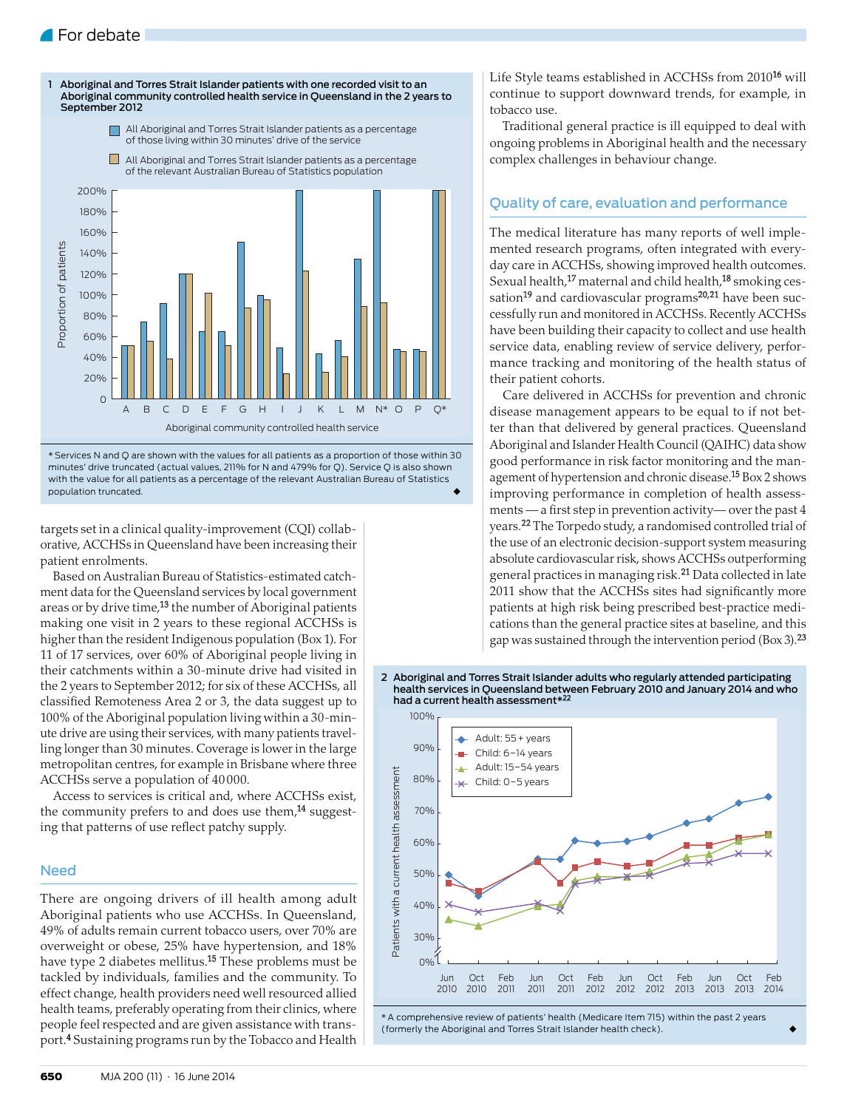

\* Services N and Q are shown with the values for all patients as a proportion of those within 30 minutes' drive truncated (actual values, 211% for N and 479% for Q). Service Q is also shown with the value for all patients as a percentage of the relevant Australian Bureau of Statistics population truncated.

targets set in a clinical quality-improvement (CQI) collaborative, ACCHSs in Queensland have been increasing their patient enrolments.

Based on Australian Bureau of Statistics-estimated catchment data for the Queensland services by local government areas or by drive time,<sup>13</sup> the number of Aboriginal patients making one visit in 2 years to these regional ACCHSs is higher than the resident Indigenous population (Box 1). For 11 of 17 services, over 60% of Aboriginal people living in their catchments within a 30-minute drive had visited in the 2 years to September 2012; for six of these ACCHSs, all classified Remoteness Area 2 or 3, the data suggest up to 100% of the Aboriginal population living within a 30-minute drive are using their services, with many patients travelling longer than 30 minutes. Coverage is lower in the large metropolitan centres, for example in Brisbane where three ACCHSs serve a population of 40 000.

Access to services is critical and, where ACCHSs exist, the community prefers to and does use them, $14$  suggesting that patterns of use reflect patchy supply.

#### Need

There are ongoing drivers of ill health among adult Aboriginal patients who use ACCHSs. In Queensland, 49% of adults remain current tobacco users, over 70% are overweight or obese, 25% have hypertension, and 18% have type 2 diabetes mellitus.<sup>15</sup> These problems must be tackled by individuals, families and the community. To effect change, health providers need well resourced allied health teams, preferably operating from their clinics, where people feel respected and are given assistance with transport.4 Sustaining programs run by the Tobacco and Health Life Style teams established in ACCHSs from 2010<sup>16</sup> will continue to support downward trends, for example, in tobacco use.

Traditional general practice is ill equipped to deal with ongoing problems in Aboriginal health and the necessary complex challenges in behaviour change.

#### Quality of care, evaluation and performance

The medical literature has many reports of well implemented research programs, often integrated with everyday care in ACCHSs, showing improved health outcomes. Sexual health,<sup>17</sup> maternal and child health,<sup>18</sup> smoking cessation<sup>19</sup> and cardiovascular programs<sup>20,21</sup> have been successfully run and monitored in ACCHSs. Recently ACCHSs have been building their capacity to collect and use health service data, enabling review of service delivery, performance tracking and monitoring of the health status of their patient cohorts.

Care delivered in ACCHSs for prevention and chronic disease management appears to be equal to if not better than that delivered by general practices. Queensland Aboriginal and Islander Health Council (QAIHC) data show good performance in risk factor monitoring and the management of hypertension and chronic disease.<sup>15</sup> Box 2 shows improving performance in completion of health assessments — a first step in prevention activity— over the past  $4$ years.22 The Torpedo study, a randomised controlled trial of the use of an electronic decision-support system measuring absolute cardiovascular risk, shows ACCHSs outperforming general practices in managing risk.21 Data collected in late 2011 show that the ACCHSs sites had significantly more patients at high risk being prescribed best-practice medications than the general practice sites at baseline, and this gap was sustained through the intervention period (Box 3).<sup>23</sup>





(formerly the Aboriginal and Torres Strait Islander health check).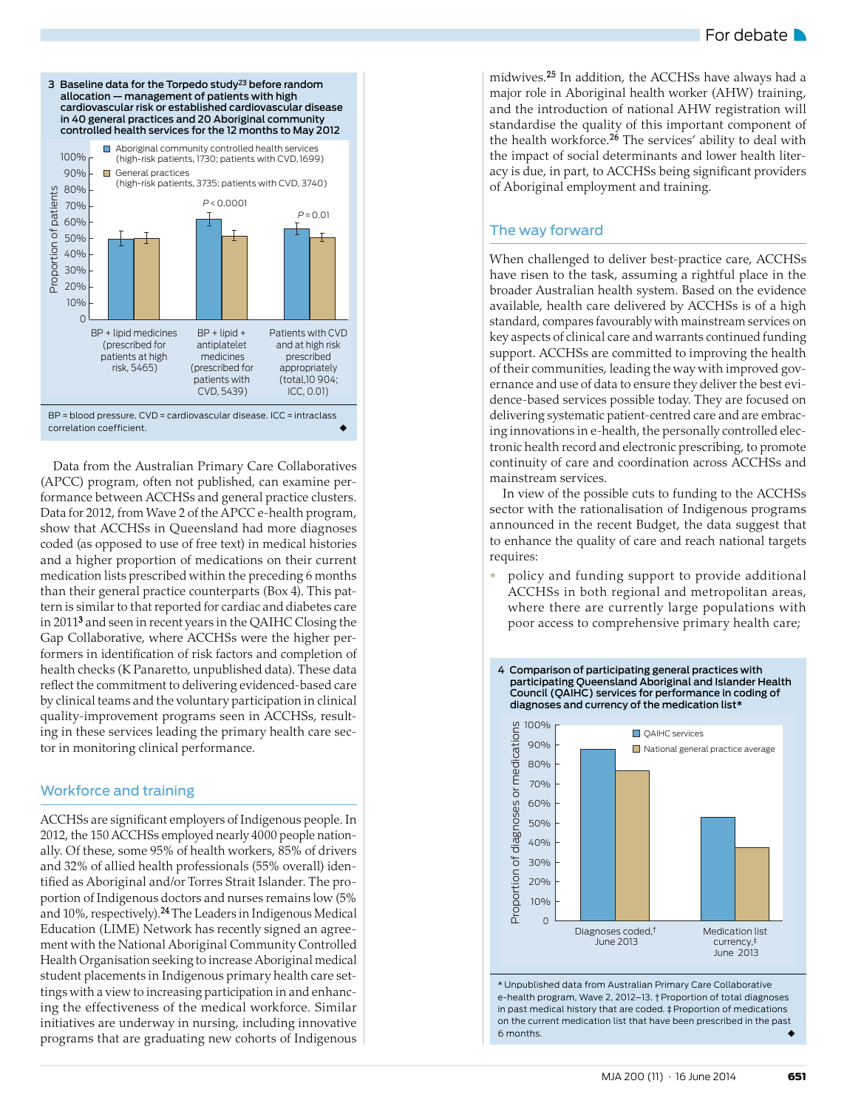

Data from the Australian Primary Care Collaboratives (APCC) program, often not published, can examine performance between ACCHSs and general practice clusters. Data for 2012, from Wave 2 of the APCC e-health program, show that ACCHSs in Queensland had more diagnoses coded (as opposed to use of free text) in medical histories and a higher proportion of medications on their current medication lists prescribed within the preceding 6 months than their general practice counterparts (Box 4). This pattern is similar to that reported for cardiac and diabetes care in 20113 and seen in recent years in the QAIHC Closing the Gap Collaborative, where ACCHSs were the higher performers in identification of risk factors and completion of health checks (K Panaretto, unpublished data). These data reflect the commitment to delivering evidenced-based care by clinical teams and the voluntary participation in clinical quality-improvement programs seen in ACCHSs, resulting in these services leading the primary health care sector in monitoring clinical performance.

#### Workforce and training

ACCHSs are significant employers of Indigenous people. In 2012, the 150 ACCHSs employed nearly 4000 people nationally. Of these, some 95% of health workers, 85% of drivers and 32% of allied health professionals (55% overall) identified as Aboriginal and/or Torres Strait Islander. The proportion of Indigenous doctors and nurses remains low (5% and 10%, respectively).24 The Leaders in Indigenous Medical Education (LIME) Network has recently signed an agreement with the National Aboriginal Community Controlled Health Organisation seeking to increase Aboriginal medical student placements in Indigenous primary health care settings with a view to increasing participation in and enhancing the effectiveness of the medical workforce. Similar initiatives are underway in nursing, including innovative programs that are graduating new cohorts of Indigenous midwives.25 In addition, the ACCHSs have always had a major role in Aboriginal health worker (AHW) training, and the introduction of national AHW registration will standardise the quality of this important component of the health workforce.<sup>26</sup> The services' ability to deal with the impact of social determinants and lower health literacy is due, in part, to ACCHSs being significant providers of Aboriginal employment and training.

#### The way forward

When challenged to deliver best-practice care, ACCHSs have risen to the task, assuming a rightful place in the broader Australian health system. Based on the evidence available, health care delivered by ACCHSs is of a high standard, compares favourably with mainstream services on key aspects of clinical care and warrants continued funding support. ACCHSs are committed to improving the health of their communities, leading the way with improved governance and use of data to ensure they deliver the best evidence-based services possible today. They are focused on delivering systematic patient-centred care and are embracing innovations in e-health, the personally controlled electronic health record and electronic prescribing, to promote continuity of care and coordination across ACCHSs and mainstream services.

In view of the possible cuts to funding to the ACCHSs sector with the rationalisation of Indigenous programs announced in the recent Budget, the data suggest that to enhance the quality of care and reach national targets requires:

• policy and funding support to provide additional ACCHSs in both regional and metropolitan areas, where there are currently large populations with poor access to comprehensive primary health care;



\* Unpublished data from Australian Primary Care Collaborative e-health program, Wave 2, 2012–13. † Proportion of total diagnoses in past medical history that are coded. ‡ Proportion of medications on the current medication list that have been prescribed in the past  $6$  months.  $\bullet$